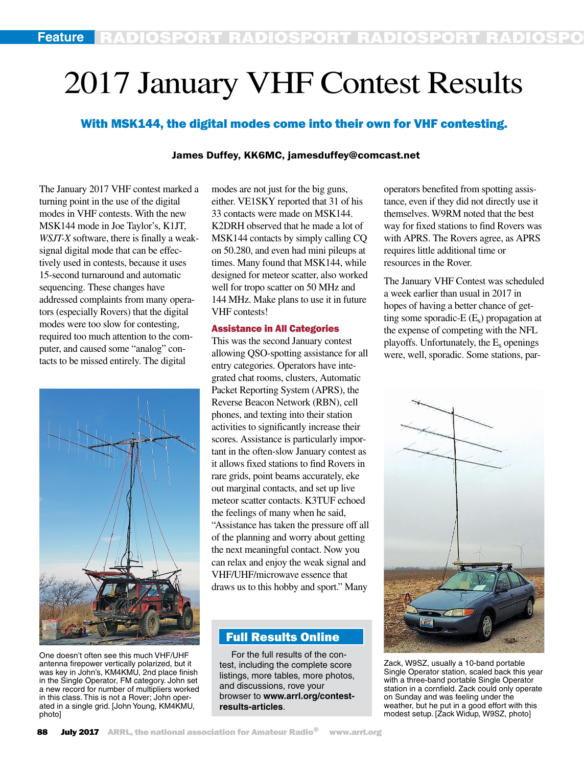# 2017 January VHF Contest Results

## With MSK144, the digital modes come into their own for VHF contesting.

## James Duffey, KK6MC, jamesduffey@comcast.net

The January 2017 VHF contest marked a turning point in the use of the digital modes in VHF contests. With the new MSK144 mode in Joe Taylor's, K1JT, *WSJT-X* software, there is finally a weaksignal digital mode that can be effectively used in contests, because it uses 15-second turnaround and automatic sequencing. These changes have addressed complaints from many operators (especially Rovers) that the digital modes were too slow for contesting, required too much attention to the computer, and caused some "analog" contacts to be missed entirely. The digital



One doesn't often see this much VHF/UHF antenna firepower vertically polarized, but it was key in John's, KM4KMU, 2nd place finish in the Single Operator, FM category. John set a new record for number of multipliers worked in this class. This is not a Rover; John operated in a single grid. [John Young, KM4KMU, photo]

modes are not just for the big guns, either. VE1SKY reported that 31 of his 33 contacts were made on MSK144. K2DRH observed that he made a lot of MSK144 contacts by simply calling CQ on 50.280, and even had mini pileups at times. Many found that MSK144, while designed for meteor scatter, also worked well for tropo scatter on 50 MHz and 144 MHz. Make plans to use it in future VHF contests!

## Assistance in All Categories

This was the second January contest allowing QSO-spotting assistance for all entry categories. Operators have integrated chat rooms, clusters, Automatic Packet Reporting System (APRS), the Reverse Beacon Network (RBN), cell phones, and texting into their station activities to significantly increase their scores. Assistance is particularly important in the often-slow January contest as it allows fixed stations to find Rovers in rare grids, point beams accurately, eke out marginal contacts, and set up live meteor scatter contacts. K3TUF echoed the feelings of many when he said, "Assistance has taken the pressure off all of the planning and worry about getting the next meaningful contact. Now you can relax and enjoy the weak signal and VHF/UHF/microwave essence that draws us to this hobby and sport." Many

## Full Results Online

For the full results of the contest, including the complete score listings, more tables, more photos, and discussions, rove your browser to **www.arrl.org/contestresults-articles**.

operators benefited from spotting assistance, even if they did not directly use it themselves. W9RM noted that the best way for fixed stations to find Rovers was with APRS. The Rovers agree, as APRS requires little additional time or resources in the Rover.

The January VHF Contest was scheduled a week earlier than usual in 2017 in hopes of having a better chance of getting some sporadic- $E(E_s)$  propagation at the expense of competing with the NFL playoffs. Unfortunately, the  $E_s$  openings were, well, sporadic. Some stations, par-



Zack, W9SZ, usually a 10-band portable Single Operator station, scaled back this year with a three-band portable Single Operator station in a cornfield. Zack could only operate on Sunday and was feeling under the weather, but he put in a good effort with this modest setup. [Zack Widup, W9SZ, photo]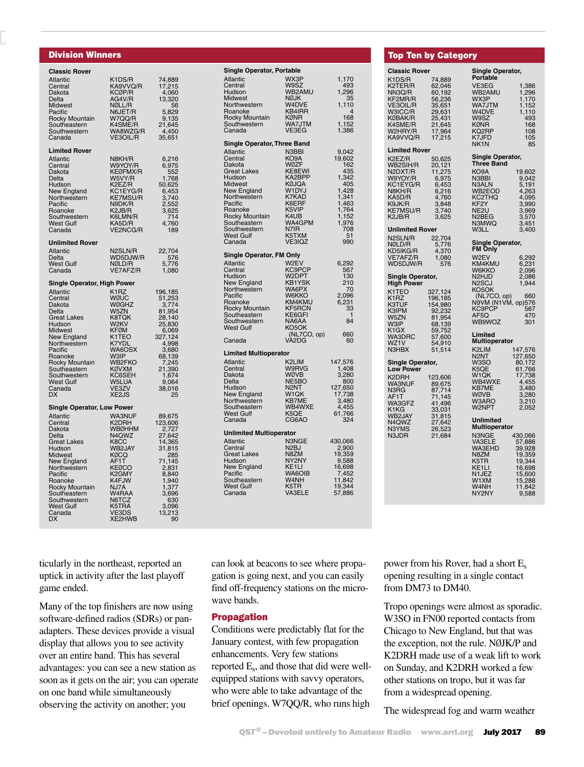## Division Winners

٦

RADIOSPORT RADIOSPORT RADIOSPORT RADIOSPORT

| <b>Classic Rover</b>                                                                                                                                                                                                                                                             |                                                                                                                                                                                               |                                                                                                                                                               |
|----------------------------------------------------------------------------------------------------------------------------------------------------------------------------------------------------------------------------------------------------------------------------------|-----------------------------------------------------------------------------------------------------------------------------------------------------------------------------------------------|---------------------------------------------------------------------------------------------------------------------------------------------------------------|
| <b>Atlantic</b><br>Central<br>Dakota<br>Delta<br>Midwest                                                                                                                                                                                                                         | K1DS/R<br>KA9VVQ/R<br>KCØP/R<br>AG4V/R<br>NØLL/R                                                                                                                                              | 74,889<br>17,215<br>4,060<br>13,320<br>56                                                                                                                     |
| Pacific<br>Rocky Mountain<br>Southeastern<br>Southwestern<br>Canada                                                                                                                                                                                                              | N6JET/R<br>W7QQ/R<br>K4SME/R<br>WA8WZG/R<br>VE3OIL/R                                                                                                                                          | 5,829<br>9,135<br>21,645<br>4,450<br>35,651                                                                                                                   |
| <b>Limited Rover</b><br><b>Atlantic</b><br>Central<br><b>Dakota</b><br><b>Delta</b><br>Hudson<br>New England<br>Northwestern<br>Pacific<br>Roanoke<br>Southwestern<br>West Gulf<br>Canada                                                                                        | N8KH/R<br>W9YOY/R<br>KEØFMX/R<br>W5VY/R<br>K2EZ/R<br>KC1EYG/R<br>KE7MSU/R<br>N9DK/R<br>K <sub>2</sub> J <sub>B</sub> /R<br>K6LMN/R<br>KA5D/R<br>VE2NCG/R                                      | 6,216<br>6,975<br>552<br>1,768<br>50,625<br>6,453<br>3,740<br>2,552<br>3,625<br>714<br>4,760<br>189                                                           |
| <b>Unlimited Rover</b><br><b>Atlantic</b><br>Delta<br><b>West Gulf</b><br>Canada                                                                                                                                                                                                 | N2SLN/R<br>WD5DJW/R<br>NØLD/R<br>VE7AFZ/R                                                                                                                                                     | 22,704<br>576<br>5,776<br>1,080                                                                                                                               |
| Single Operator, High Power<br><b>Atlantic</b><br>Central<br><b>Dakota</b><br><b>Delta</b><br><b>Great Lakes</b><br>Hudson<br>Midwest<br>New England<br>Northwestern<br>Pacific<br>Roanoke<br>Rocky Mountain<br>Southeastern<br>Southwestern<br><b>West Gulf</b><br>Canada<br>DX | K <sub>1</sub> RZ<br>WØUC<br>WØGHZ<br>W5ZN<br>K8TQK<br>W2KV<br><b>KFØM</b><br>K1TEO<br>K7YDL<br>WA6OSX<br>W3IP<br>WB2FKO<br><b>KØVXM</b><br>KC6SEH<br>W5LUA<br>VE3ZV<br>XE2JS                 | 196,185<br>51,253<br>3,774<br>81,954<br>28,140<br>25,830<br>6,069<br>327,124<br>4,998<br>3,680<br>68,139<br>7,245<br>21,390<br>1,674<br>9,064<br>38,016<br>25 |
| <b>Single Operator, Low Power</b><br>Atlantic<br>Central<br>Dakota<br>Delta<br><b>Great Lakes</b><br>Hudson<br>Midwest<br>New England<br>Northwestern<br>Pacific<br>Roanoke<br>Rocky Mountain<br>Southeastern<br>Southwestern<br><b>West Gulf</b><br>Canada<br><b>DX</b>         | <b>WA3NUF</b><br>K2DRH<br>WBØHHM<br>N4QWZ<br>K8CC<br>WB2JAY<br><b>KØCQ</b><br>AF1T<br>KEØCO<br>K <sub>2</sub> GMY<br>K4FJW<br>NJ7A<br>W <sub>4</sub> RAA<br>N6TCZ<br>K5TRA<br>VE3DS<br>XE2HWB | 89,675<br>123,606<br>2,727<br>27,642<br>14,365<br>31,815<br>285<br>71,145<br>2,831<br>8,840<br>1,940<br>1,377<br>3,696<br>630<br>3,096<br>13,213<br>90        |

| <b>Single Operator, Portable</b><br><b>Atlantic</b> | WX3P                                  | 1,170                          |  |  |  |  |
|-----------------------------------------------------|---------------------------------------|--------------------------------|--|--|--|--|
| Central<br>Hudson<br><b>Midwest</b>                 | W9SZ<br>WB2AMU<br><b>NØJK</b>         | 493<br>1,296<br>35             |  |  |  |  |
| Northwestern<br>Roanoke                             | W4DVE<br>KB4IRR                       | 1,110<br>$\overline{4}$<br>168 |  |  |  |  |
| Rocky Mountain<br>Southwestern<br>Canada            | KØNR<br>WA7JTM<br>VE3EG               | 1,152<br>1,386                 |  |  |  |  |
| <b>Single Operator, Three Band</b>                  |                                       |                                |  |  |  |  |
| <b>Atlantic</b>                                     | N3BBI                                 | 9,042                          |  |  |  |  |
| Central<br>Dakota                                   | KO9A<br>WØZF                          | 19,602<br>162                  |  |  |  |  |
| <b>Great Lakes</b><br>Hudson                        | KE8EWI<br>KA2BPP                      | 435<br>1,342                   |  |  |  |  |
| Midwest                                             | <b>KØJQA</b>                          | 405                            |  |  |  |  |
| New England<br>Northwestern                         | W1DYJ<br><b>K7KAD</b>                 | 1,428<br>1,341                 |  |  |  |  |
| Pacific<br>Roanoke                                  | K6ERF<br>K5VIP                        | 1,463                          |  |  |  |  |
| Rocky Mountain                                      | K4UB                                  | 1,764<br>1,152                 |  |  |  |  |
| Southeastern<br>Southwestern                        | WA4GPM<br>N7IR                        | 1,976<br>708                   |  |  |  |  |
| <b>West Gulf</b>                                    | K5TXM                                 | 51                             |  |  |  |  |
| Canada                                              | VE3IQZ                                | 990                            |  |  |  |  |
| <b>Single Operator, FM Only</b>                     |                                       |                                |  |  |  |  |
| <b>Atlantic</b><br>Central                          | W2EV<br>KC9PCP                        | 6,292<br>567                   |  |  |  |  |
| Hudson<br>New England                               | W2DPT<br><b>KB1YSK</b>                | 130<br>210                     |  |  |  |  |
| Northwestern                                        | WA6PX                                 | 70                             |  |  |  |  |
| Pacific<br>Roanoke                                  | <b>W6KKO</b><br>KM4KMU                | 2,096<br>6,231                 |  |  |  |  |
| Rocky Mountain<br>Southeastern                      | KF5RCN<br>KE6GFI                      | 33<br>1                        |  |  |  |  |
| Southwestern                                        | NA6AA                                 | 84                             |  |  |  |  |
| West Gulf                                           | KO <sub>5</sub> OK<br>(NL7CO, op)     | 660                            |  |  |  |  |
| Canada                                              | VÀ2DG                                 | 60                             |  |  |  |  |
| <b>Limited Multioperator</b>                        |                                       |                                |  |  |  |  |
| <b>Atlantic</b><br>Central                          | K2LIM<br>W9RVG                        | 147,576<br>1,408               |  |  |  |  |
| Dakota<br>Delta                                     | WØVB<br>NE5BO                         | 3,280<br>800                   |  |  |  |  |
| Hudson                                              | N <sub>2</sub> NT                     |                                |  |  |  |  |
| New England<br>Northwestern                         | W1QK<br><b>KB7ME</b>                  | 127,650<br>17,738<br>3,480     |  |  |  |  |
| Southeastern<br><b>West Gulf</b>                    | WB4WXE<br>K5QE                        | 4,455                          |  |  |  |  |
| Canada                                              | CG6AO                                 | 61,766<br>324                  |  |  |  |  |
| <b>Unlimited Multioperator</b>                      |                                       |                                |  |  |  |  |
| <b>Atlantic</b>                                     | N3NGE                                 | 430,066                        |  |  |  |  |
| Central<br>Great Lakes                              | N <sub>2</sub> BJ<br>N8ZM             | 2,900<br>19,359                |  |  |  |  |
| Hudson<br>New England                               | NY2NY<br>KE1LI                        | 9,588<br>16,698                |  |  |  |  |
| Pacific                                             | WA6OIB                                |                                |  |  |  |  |
| Southeastern<br><b>West Gulf</b>                    | W4NH<br>K <sub>5</sub> T <sub>R</sub> | 7,452<br>11,842<br>19,344      |  |  |  |  |
| Canada                                              | <b>VA3ELE</b>                         | 57,886                         |  |  |  |  |
|                                                     |                                       |                                |  |  |  |  |

| <b>Top</b>                | <b>Ten by Category</b>       |                                        |                  |
|---------------------------|------------------------------|----------------------------------------|------------------|
| <b>Classic Rover</b>      |                              | Single Operator,                       |                  |
| K1DS/R                    | 74,889                       | Portable                               |                  |
| K2TER/R                   | 62,046                       | VE3EG                                  | 1,386            |
| NN3Q/R                    | 60,192                       | WB2AMU                                 | 1,296            |
| KF2MR/R                   | 56,236                       | WX3P                                   | 1,170            |
| VE3OIL/R                  | 35,651                       | WA7JTM                                 | 1,152<br>1,110   |
| W3ICC/R                   | 29,631                       | W4DVE                                  |                  |
| KØBAK/R                   | 25,431                       | W9SZ                                   | 493              |
| K4SME/R                   | 21,645                       | <b>KØNR</b>                            | 168              |
| W2HRY/R                   | 17,964                       | KQ2RP                                  | 108              |
| KA9VVQ/R                  | 17,215                       | K7JFD<br>NK <sub>1</sub> N             | 105<br>85        |
| <b>Limited Rover</b>      |                              |                                        |                  |
| K2EZ/R                    | 50,625                       | Single Operator,                       |                  |
| WB2SIH/R                  | 20,121<br>11,275<br>6,975    | <b>Three Band</b>                      |                  |
| N2DXT/R                   |                              | KO9A                                   | 19,602           |
| W9YOY/R<br>KC1EYG/R       |                              | N3BBI                                  | 9,042            |
|                           | 6,453                        | N3ALN                                  | 5,191            |
| N8KH/R                    | 6,216                        | WB2EOD                                 | 4,263<br>4,095   |
| KA5D/R                    | 4,760                        | KC2THQ                                 |                  |
| K9JK/R                    | 3,848<br>3,740               | KF <sub>2</sub> Y                      | 3,990            |
| <b>KE7MSU/R</b><br>K2JB/R | 3,625                        | NE2U<br>N <sub>2</sub> BEG             | 3,969<br>3,570   |
|                           |                              | N3MWQ                                  | 3,451            |
| <b>Unlimited Rover</b>    |                              | W3LL                                   | 3,400            |
| N2SLN/R                   | 22,704                       |                                        |                  |
| NØLD/R                    |                              | <b>Single Operator,</b>                |                  |
| KD5IKG/R                  | 5,776<br>4,370               | <b>FM Only</b>                         |                  |
| VE7AFZ/R                  | 1,080                        | W <sub>2</sub> EV                      | 6,292            |
| WD5DJW/R                  | 576                          | KM4KMU                                 | 6,231            |
|                           |                              | W6KKO                                  | 2,096            |
| <b>Single Operator,</b>   |                              | N <sub>2</sub> HJD                     | 2,086            |
| <b>High Power</b>         |                              | N <sub>2</sub> SCJ                     | 1,944            |
| K1TEO                     | 327,124                      | <b>KO<sub>5</sub>OK</b><br>(NL7CO, op) | 660              |
| K <sub>1</sub> RZ         | 196,185<br>154,980<br>92,232 | N9VM (N1VM, op)576                     |                  |
| <b>K3TUF</b>              |                              | KC9PCP                                 | 567              |
| K3IPM                     |                              | AF5Q                                   | 470              |
| W5ZN<br><b>W3IP</b>       | 81,954                       | WB9WOZ                                 | 301              |
| K1GX                      | 68,139<br>59,752             |                                        |                  |
| WA3DRC                    |                              | Limited                                |                  |
| WZ1V                      | 57,600<br>54,910             | <b>Multioperator</b>                   |                  |
| N3HBX                     | 51,514                       | K2LIM                                  | 147,576          |
|                           |                              | N <sub>2</sub> NT                      | 127,650          |
| Single Operator,          |                              | W3SO                                   | 80,172           |
| <b>Low Power</b>          |                              | K5QE                                   | 61,766           |
| K2DRH                     | 123,606                      | W1QK                                   | 17,738           |
| <b>WA3NUF</b>             | 89,675                       | WB4WXE                                 | 4,455            |
| N3RG                      | 87,714                       | <b>KB7ME</b>                           | 3,480            |
| AF1T                      | 71,145                       | WØVB                                   | 3,280            |
| WA3GFZ                    | 41,496                       | W3ARO                                  | 3,210            |
| K1KG                      | 33,031                       | W2NPT                                  | 2,052            |
| WB2JAY                    | 31,815                       | Unlimited                              |                  |
| N4QWZ<br>N3YMS            | 27,642<br>26,523             | <b>Multioperator</b>                   |                  |
| N3JDR                     | 21,684                       | N3NGE                                  | 430,066          |
|                           |                              | VA3ELE                                 | 57,886           |
|                           |                              | WA3EHD                                 | 39,928           |
|                           |                              | N8ZM                                   |                  |
|                           |                              | K5TR                                   | 19,359<br>19,344 |
|                           |                              | KE1LI                                  | 16,698           |
|                           |                              | N1JEZ                                  | 15,600           |
|                           |                              | W1XM                                   | 15,288           |
|                           |                              | W4NH                                   | 11,842           |
|                           |                              | NY2NY                                  | 9,588            |
|                           |                              |                                        |                  |

ticularly in the northeast, reported an uptick in activity after the last playoff game ended.

Many of the top finishers are now using software-defined radios (SDRs) or panadapters. These devices provide a visual display that allows you to see activity over an entire band. This has several advantages: you can see a new station as soon as it gets on the air; you can operate on one band while simultaneously observing the activity on another; you

can look at beacons to see where propagation is going next, and you can easily find off-frequency stations on the microwave bands.

## Propagation

Conditions were predictably flat for the January contest, with few propagation enhancements. Very few stations reported Es, and those that did were wellequipped stations with savvy operators, who were able to take advantage of the brief openings. W7QQ/R, who runs high

power from his Rover, had a short Es opening resulting in a single contact from DM73 to DM40.

Tropo openings were almost as sporadic. W3SO in FN00 reported contacts from Chicago to New England, but that was the exception, not the rule. NØJK/P and K2DRH made use of a weak lift to work on Sunday, and K2DRH worked a few other stations on tropo, but it was far from a widespread opening.

The widespread fog and warm weather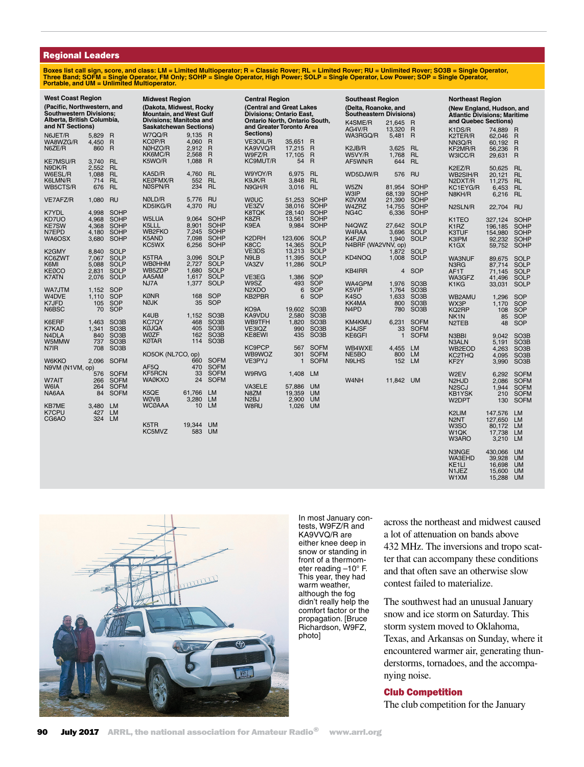#### Regional Leaders

Boxes list call sign, score, and class: LM = Limited Multioperator; R = Classic Rover; RL = Limited Rover; NJ = Unlimited Rover; SO3B = Single Operator,<br>Three Band; SOFM = Single Operator, FM Only; SOHP = Single Operator,

| <b>West Coast Region</b>                                                                                        |                         |                                                             | <b>Midwest Region</b>                                                                                                 |                                  |                                                             | <b>Central Region</b>                                                                                             |                            |                                                             | <b>Southeast Region</b>                                                     |                            |                                                             | <b>Northeast Region</b>                                                                            |                                                          |                                                                     |
|-----------------------------------------------------------------------------------------------------------------|-------------------------|-------------------------------------------------------------|-----------------------------------------------------------------------------------------------------------------------|----------------------------------|-------------------------------------------------------------|-------------------------------------------------------------------------------------------------------------------|----------------------------|-------------------------------------------------------------|-----------------------------------------------------------------------------|----------------------------|-------------------------------------------------------------|----------------------------------------------------------------------------------------------------|----------------------------------------------------------|---------------------------------------------------------------------|
| (Pacific, Northwestern, and<br><b>Southwestern Divisions:</b><br>Alberta, British Columbia,<br>and NT Sections) |                         |                                                             | (Dakota, Midwest, Rocky<br><b>Mountain, and West Gulf</b><br>Divisions; Manitoba and<br><b>Saskatchewan Sections)</b> |                                  |                                                             | (Central and Great Lakes<br>Divisions; Ontario East,<br>Ontario North, Ontario South,<br>and Greater Toronto Area |                            |                                                             | (Delta, Roanoke, and<br><b>Southeastern Divisions)</b><br>K4SME/R<br>AG4V/R | 21,645 R<br>13,320 R       |                                                             | (New England, Hudson, and<br><b>Atlantic Divisions; Maritime</b><br>and Quebec Sections)<br>K1DS/R | 74,889                                                   | R                                                                   |
| N6JET/R<br>WA8WZG/R<br>N6ZE/R                                                                                   | 5,829<br>4,450<br>860   | R<br>$\overline{R}$<br>R                                    | W7QQ/R<br>KCØP/R<br>NØHZO/R<br>KK6MC/R                                                                                | 9.135<br>4,060<br>2,912<br>2,568 | R<br>$\overline{R}$<br>R<br>$\overline{R}$                  | Sections)<br>VE3OIL/R<br>KA9VVQ/R<br>W9FZ/R                                                                       | 35,651<br>17,215<br>17,105 | R<br>R<br>R                                                 | WA3RGQ/R<br>K2JB/R<br>W5VY/R                                                | 5,481<br>3,625<br>1,768    | R<br><b>RL</b><br><b>RL</b>                                 | K2TER/R<br>NN3Q/R<br>KF2MR/R                                                                       | 62,046<br>60,192<br>56,236                               | R<br>$\overline{R}$<br>$\overline{R}$                               |
| <b>KE7MSU/R</b><br>N9DK/R                                                                                       | 3,740<br>2,552          | <b>RL</b><br><b>RL</b>                                      | K5WO/R                                                                                                                | 1,088                            | R                                                           | KC9MUT/R                                                                                                          | 54                         | R                                                           | AF5WN/R                                                                     | 644                        | <b>RL</b>                                                   | W3ICC/R<br>K2EZ/R                                                                                  | 29,631 R<br>50,625                                       | <b>RL</b>                                                           |
| W6ESL/R<br>K6LMN/R<br>WB5CTS/R                                                                                  | 1,088<br>714<br>676     | <b>RL</b><br>RL<br><b>RL</b>                                | KA5D/R<br>KEØFMX/R<br>NØSPN/R                                                                                         | 4,760<br>552<br>234              | <b>RL</b><br><b>RL</b><br><b>RL</b>                         | W9YOY/R<br>K9JK/R<br>N9GH/R                                                                                       | 6,975<br>3,848<br>3,016    | <b>RL</b><br><b>RL</b><br><b>RL</b>                         | WD5DJW/R<br>W5ZN                                                            | 576<br>81,954              | RU<br><b>SOHP</b>                                           | WB2SIH/R<br>N2DXT/R<br>KC1EYG/R                                                                    | 20,121<br>11,275 RL<br>6,453                             | <b>RL</b><br><b>RL</b>                                              |
| VE7AFZ/R                                                                                                        | 1,080                   | <b>RU</b>                                                   | NØLD/R<br>KD5IKG/R                                                                                                    | 5,776<br>4,370                   | <b>RU</b><br><b>RU</b>                                      | <b>WØUC</b><br>VE3ZV                                                                                              | 51,253<br>38,016           | <b>SOHP</b><br><b>SOHP</b>                                  | <b>W3IP</b><br><b>KØVXM</b><br>W4ZRZ                                        | 68,139<br>21,390<br>14,755 | <b>SOHP</b><br><b>SOHP</b><br><b>SOHP</b>                   | N8KH/R<br>N2SLN/R                                                                                  | 6,216 RL<br>22,704                                       | RU                                                                  |
| <b>K7YDL</b><br>KD7UO<br><b>KE7SW</b>                                                                           | 4,998<br>4,968<br>4,368 | <b>SOHP</b><br><b>SOHP</b><br>SOHP                          | W5LUA<br>K5LLL                                                                                                        | 9.064<br>8,901                   | <b>SOHP</b><br><b>SOHP</b>                                  | <b>K8TQK</b><br>K8ZR<br>K9EA                                                                                      | 28,140<br>13,561<br>9,984  | <b>SOHP</b><br><b>SOHP</b><br><b>SOHP</b>                   | NG4C<br>N4QWZ                                                               | 6,336<br>27,642            | SOHP<br><b>SOLP</b>                                         | K1TEO                                                                                              | 327,124                                                  | SOHP                                                                |
| N7EPD<br>WA6OSX                                                                                                 | 4,180<br>3,680          | <b>SOHP</b><br>SOHP                                         | <b>WB2FKO</b><br>K5AND<br>KC5WX                                                                                       | 7,245<br>7,098<br>6,256          | <b>SOHP</b><br><b>SOHP</b><br><b>SOHP</b>                   | K2DRH<br>K8CC                                                                                                     | 123,606<br>14,365          | <b>SOLP</b><br><b>SOLP</b>                                  | W4RAA<br>K4FJW<br>N4BRF (WA2VNV, op)                                        | 3,696<br>1,940             | <b>SOLP</b><br>SOLP                                         | K1RZ<br>K3TUF<br>K3IPM                                                                             | 196,185<br>154,980<br>92,232                             | SOHP<br><b>SOHP</b><br><b>SOHP</b>                                  |
| K2GMY<br>KC6ZWT                                                                                                 | 8.840<br>7,067          | <b>SOLP</b><br><b>SOLP</b>                                  | K5TRA<br><b>WBØHHM</b>                                                                                                | 3,096<br>2,727                   | SOLP<br><b>SOLP</b>                                         | VE3DS<br>N9LB<br>VA3ZV                                                                                            | 13,213<br>11,395<br>11,286 | SOLP<br><b>SOLP</b><br><b>SOLP</b>                          | KD4NOQ                                                                      | 1,872<br>1,008             | <b>SOLP</b><br>SOLP                                         | K <sub>1</sub> GX<br><b>WA3NUF</b>                                                                 | 59,752<br>89,675                                         | SOHP<br>SOLP                                                        |
| K6MI<br><b>KEØCO</b><br><b>K7ATN</b>                                                                            | 5,088<br>2,831<br>2,076 | <b>SOLP</b><br><b>SOLP</b><br><b>SOLP</b>                   | WB5ZDP<br>AA5AM                                                                                                       | 1,680<br>1,617                   | <b>SOLP</b><br><b>SOLP</b>                                  | VE3EG                                                                                                             | 1,386                      | <b>SOP</b>                                                  | KB4IRR                                                                      | $\overline{4}$             | SOP                                                         | N3RG<br>AF1T<br>WA3GFZ                                                                             | 87,714<br>71,145<br>41,496                               | <b>SOLP</b><br><b>SOLP</b><br><b>SOLP</b>                           |
| WA7JTM<br>W4DVE                                                                                                 | 1,152<br>1,110          | <b>SOP</b><br>SOP                                           | NJ7A<br><b>KØNR</b>                                                                                                   | 1,377<br>168                     | SOLP<br><b>SOP</b>                                          | W9SZ<br>N <sub>2</sub> X <sub>D</sub> O<br>KB2PBR                                                                 | 493<br>6<br>6              | <b>SOP</b><br><b>SOP</b><br><b>SOP</b>                      | WA4GPM<br>K5VIP<br>K <sub>4</sub> SO                                        | 1,976<br>1,764<br>1,633    | SO <sub>3</sub> B<br>SO <sub>3</sub> B<br>SO <sub>3</sub> B | K1KG<br>WB2AMU                                                                                     | 33,031<br>1,296                                          | <b>SOLP</b><br><b>SOP</b>                                           |
| K7JFD<br>N6BSC                                                                                                  | 105<br>70               | SOP<br><b>SOP</b>                                           | <b>NØJK</b><br>K4UB                                                                                                   | 35<br>1,152                      | SOP<br>SO <sub>3</sub> B                                    | KO9A<br>KA9VDU                                                                                                    | 19,602<br>2,580            | SO <sub>3</sub> B<br>SO <sub>3</sub> B                      | KK4MA<br>N <sub>4</sub> P <sub>D</sub>                                      | 800<br>780                 | SO <sub>3</sub> B<br>SO <sub>3</sub> B                      | WX3P<br>KQ2RP<br>NK1N                                                                              | 1,170<br>108<br>85                                       | <b>SOP</b><br><b>SOP</b><br><b>SOP</b>                              |
| K6ERF<br><b>K7KAD</b><br>N <sub>4</sub> DLA                                                                     | 1,463<br>1,341<br>840   | SO <sub>3</sub> B<br>SO <sub>3</sub> B<br>SO <sub>3</sub> B | <b>KC7QY</b><br>KØJQA<br>WØZF                                                                                         | 468<br>405<br>162                | SO <sub>3</sub> B<br>SO <sub>3</sub> B<br>SO <sub>3</sub> B | WB9TFH<br>VE3IQZ<br>KE8EWI                                                                                        | 1,820<br>990<br>435        | SO <sub>3</sub> B<br>SO <sub>3</sub> B<br>SO <sub>3</sub> B | KM4KMU<br>KJ4JSF<br>KE6GFI                                                  | 6,231<br>33<br>1           | <b>SOFM</b><br><b>SOFM</b><br><b>SOFM</b>                   | N <sub>2</sub> TEB<br>N3BBI                                                                        | 48<br>9,042                                              | <b>SOP</b><br>SO <sub>3</sub> B                                     |
| W5MMW<br>N7IR                                                                                                   | 737<br>708              | SO <sub>3</sub> B<br>SO <sub>3</sub> B                      | KØTAR<br>KO5OK (NL7CO, op)                                                                                            | 114                              | SO <sub>3</sub> B                                           | <b>KC9PCP</b><br>WB9WOZ                                                                                           | 567<br>301                 | <b>SOFM</b><br><b>SOFM</b>                                  | WB4WXE<br>NE5BO                                                             | 4,455 LM<br>800            | <b>LM</b>                                                   | N3ALN<br>WB2EOD<br>KC2THQ                                                                          | 5,191<br>4,263<br>4,095                                  | SO <sub>3</sub> B<br>SO <sub>3</sub> B<br>SO <sub>3</sub> B         |
| <b>W6KKO</b><br>N9VM (N1VM, op)                                                                                 | 2.096<br>576            | <b>SOFM</b><br><b>SOFM</b>                                  | AF5Q<br><b>KF5RCN</b>                                                                                                 | 660<br>470<br>33                 | <b>SOFM</b><br><b>SOFM</b><br><b>SOFM</b>                   | VE3PYJ<br>W9RVG                                                                                                   | 1<br>1,408                 | <b>SOFM</b><br>LM                                           | N9LHS                                                                       | 152 LM                     |                                                             | KF <sub>2</sub> Y                                                                                  | 3,990                                                    | SO <sub>3</sub> B                                                   |
| W7AIT<br>W6IA                                                                                                   | 266<br>264              | <b>SOFM</b><br><b>SOFM</b>                                  | <b>WAØKXO</b>                                                                                                         | 24                               | <b>SOFM</b>                                                 | <b>VA3ELE</b>                                                                                                     | 57,886                     | <b>UM</b>                                                   | W4NH                                                                        | 11,842                     | <b>UM</b>                                                   | W2EV<br>N <sub>2</sub> HJ <sub>D</sub><br>N <sub>2</sub> SCJ                                       | 6,292<br>2,086<br>1,944                                  | <b>SOFM</b><br><b>SOFM</b><br><b>SOFM</b>                           |
| NA6AA<br><b>KB7ME</b>                                                                                           | 84<br>3,480             | <b>SOFM</b><br><b>LM</b>                                    | K5QE<br>WØVB<br><b>WCØAAA</b>                                                                                         | 61,766<br>3,280<br>10            | <b>LM</b><br><b>LM</b><br><b>LM</b>                         | N8ZM<br>N <sub>2</sub> BJ<br>W8RU                                                                                 | 19,359<br>2,900<br>1,026   | <b>UM</b><br><b>UM</b><br><b>UM</b>                         |                                                                             |                            |                                                             | <b>KB1YSK</b><br>W2DPT                                                                             | 210<br>130                                               | <b>SOFM</b><br><b>SOFM</b>                                          |
| K7CPU<br>CG6AO                                                                                                  | 427<br>324              | <b>LM</b><br><b>LM</b>                                      | K5TR<br>KC5MVZ                                                                                                        | 19,344<br>583                    | <b>UM</b><br><b>UM</b>                                      |                                                                                                                   |                            |                                                             |                                                                             |                            |                                                             | K2LIM<br>N <sub>2N</sub> T<br>W3SO<br>W <sub>1</sub> QK                                            | 147,576<br>127,650<br>80,172<br>17,738                   | <b>LM</b><br><b>LM</b><br><b>LM</b><br><b>LM</b>                    |
|                                                                                                                 |                         |                                                             |                                                                                                                       |                                  |                                                             |                                                                                                                   |                            |                                                             |                                                                             |                            |                                                             | W3ARO<br>N3NGE<br><b>WA3EHD</b><br>KE1LI<br>N1JEZ<br>W1XM                                          | 3,210<br>430,066<br>39,928<br>16,698<br>15,600<br>15,288 | <b>LM</b><br><b>UM</b><br><b>UM</b><br><b>UM</b><br><b>UM</b><br>UM |



In most January contests, W9FZ/R and KA9VVQ/R are either knee deep in snow or standing in front of a thermometer reading –10° F. This year, they had warm weather, although the fog didn't really help the comfort factor or the propagation. [Bruce Richardson, W9FZ, photo]

across the northeast and midwest caused a lot of attenuation on bands above 432 MHz. The inversions and tropo scatter that can accompany these conditions and that often save an otherwise slow contest failed to materialize.

The southwest had an unusual January snow and ice storm on Saturday. This storm system moved to Oklahoma, Texas, and Arkansas on Sunday, where it encountered warmer air, generating thunderstorms, tornadoes, and the accompanying noise.

#### Club Competition

The club competition for the January